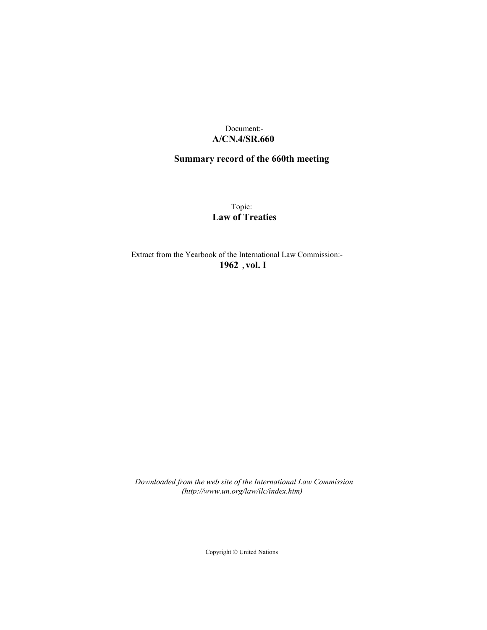# Document:- **A/CN.4/SR.660**

# **Summary record of the 660th meeting**

Topic: **Law of Treaties**

Extract from the Yearbook of the International Law Commission:- **1962** ,**vol. I**

*Downloaded from the web site of the International Law Commission (http://www.un.org/law/ilc/index.htm)*

Copyright © United Nations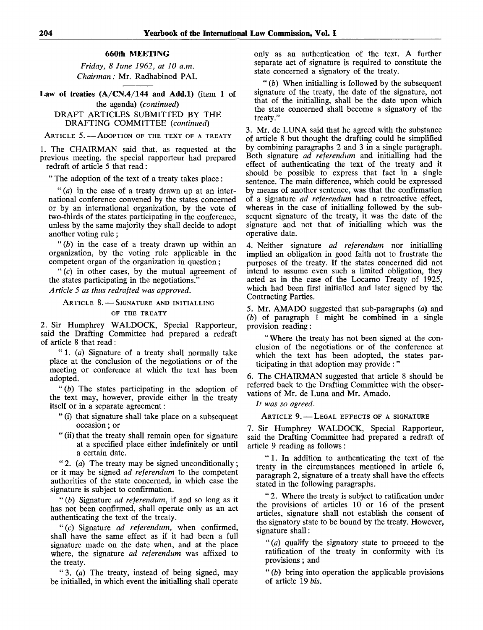#### **660th MEETING**

*Friday, 8 June 1962, at 10 a.m. Chairman:* Mr. Radhabinod PAL

Law of treaties  $(A/CN.4/144$  and Add.1) (item 1 of the agenda) *(continued)*

DRAFT ARTICLES SUBMITTED BY THE DRAFTING COMMITTEE *(continued)*

ARTICLE 5. - ADOPTION OF THE TEXT OF A TREATY

1. The CHAIRMAN said that, as requested at the previous meeting, the special rapporteur had prepared redraft of article 5 that read :

" The adoption of the text of a treaty takes place :

" *(a)* in the case of a treaty drawn up at an international conference convened by the states concerned or by an international organization, by the vote of two-thirds of the states participating in the conference, unless by the same majority they shall decide to adopt another voting rule;

" $(b)$  in the case of a treaty drawn up within an organization, by the voting rule applicable in the competent organ of the organization in question ;

" $(c)$  in other cases, by the mutual agreement of the states participating in the negotiations."

*Article 5 as thus redrafted was approved.*

ARTICLE 8. — SIGNATURE AND INITIALLING

# OF THE TREATY

2. Sir Humphrey WALDOCK, Special Rapporteur, said the Drafting Committee had prepared a redraft of article 8 that read :

" 1. *(a)* Signature of a treaty shall normally take place at the conclusion of the negotiations or of the meeting or conference at which the text has been adopted.

*"(b)* The states participating in the adoption of the text may, however, provide either in the treaty itself or in a separate agreement:

- " (i) that signature shall take place on a subsequent occasion; or
- " (ii) that the treaty shall remain open for signature at a specified place either indefinitely or until a certain date.

" 2. *(a)* The treaty may be signed unconditionally ; or it may be signed *ad referendum* to the competent authorities of the state concerned, in which case the signature is subject to confirmation.

" *(b)* Signature *ad referendum,* if and so long as it has not been confirmed, shall operate only as an act authenticating the text of the treaty.

"(c) Signature *ad referendum,* when confirmed, shall have the same effect as if it had been a full signature made on the date when, and at the place where, the signature *ad referendum* was affixed to the treaty.

" 3. *(a)* The treaty, instead of being signed, may be initialled, in which event the initialling shall operate

only as an authentication of the text. A further separate act of signature is required to constitute the state concerned a signatory of the treaty.

" *(b)* When initialling is followed by the subsequent signature of the treaty, the date of the signature, not that of the initialling, shall be the date upon which the state concerned shall become a signatory of the treaty."

3. Mr. de LUNA said that he agreed with the substance of article 8 but thought the drafting could be simplified by combining paragraphs 2 and 3 in a single paragraph. Both signature *ad referendum* and initialling had the effect of authenticating the text of the treaty and it should be possible to express that fact in a single sentence. The main difference, which could be expressed by means of another sentence, was that the confirmation of a signature *ad referendum* had a retroactive effect, whereas in the case of initialling followed by the subsequent signature of the treaty, it was the date of the signature and not that of initialling which was the operative date.

4. Neither signature *ad referendum* nor initialling implied an obligation in good faith not to frustrate the purposes of the treaty. If the states concerned did not intend to assume even such a limited obligation, they acted as in the case of the Locarno Treaty of 1925, which had been first initialled and later signed by the Contracting Parties.

5. Mr. AMADO suggested that sub-paragraphs *(a)* and *(b)* of paragraph 1 might be combined in a single provision reading:

" Where the treaty has not been signed at the conclusion of the negotiations or of the conference at which the text has been adopted, the states participating in that adoption may provide : "

6. The CHAIRMAN suggested that article 8 should be referred back to the Drafting Committee with the observations of Mr. de Luna and Mr. Amado.

*It was so agreed.*

ARTICLE 9. - LEGAL EFFECTS OF A SIGNATURE

7. Sir Humphrey WALDOCK, Special Rapporteur, said the Drafting Committee had prepared a redraft of article 9 reading as follows:

" 1. In addition to authenticating the text of the treaty in the circumstances mentioned in article 6, paragraph 2, signature of a treaty shall have the effects stated in the following paragraphs.

" 2. Where the treaty is subject to ratification under the provisions of articles 10 or 16 of the present articles, signature shall not establish the consent of the signatory state to be bound by the treaty. However, signature shall:

" *(a)* qualify the signatory state to proceed to the ratification of the treaty in conformity with its provisions; and

" *(b)* bring into operation the applicable provisions of article 19 *bis.*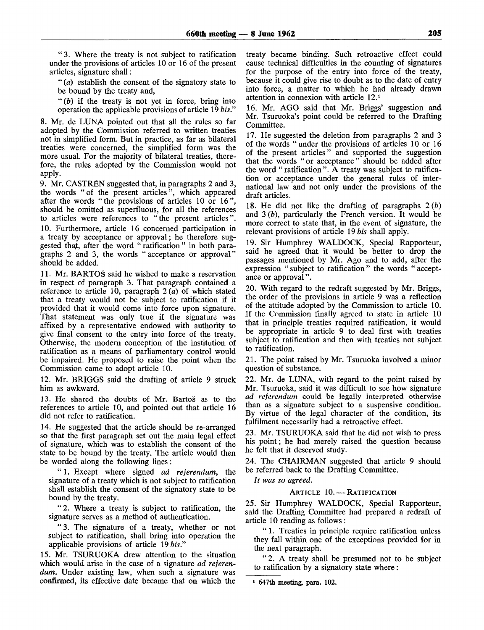" 3. Where the treaty is not subject to ratification under the provisions of articles 10 or 16 of the present articles, signature shall:

" *(a)* establish the consent of the signatory state to be bound by the treaty and,

" *(b)* if the treaty is not yet in force, bring into operation the applicable provisions of article 19 *bis."*

8. Mr. de LUNA pointed out that all the rules so far adopted by the Commission referred to written treaties not in simplified form. But in practice, as far as bilateral treaties were concerned, the simplified form was the more usual. For the majority of bilateral treaties, therefore, the rules adopted by the Commission would not apply.

9. Mr. CASTREN suggested that, in paragraphs 2 and 3, the words "of the present articles", which appeared after the words "the provisions of articles 10 or 16", should be omitted as superfluous, for all the references to articles were references to "the present articles". 10. Furthermore, article 16 concerned participation in a treaty by acceptance or approval; he therefore suggested that, after the word "ratification" in both paragraphs 2 and 3, the words "acceptance or approval" should be added.

11. Mr. BARTOS said he wished to make a reservation in respect of paragraph 3. That paragraph contained a reference to article 10, paragraph 2 *(a)* of which stated that a treaty would not be subject to ratification if it provided that it would come into force upon signature. That statement was only true if the signature was affixed by a representative endowed with authority to give final consent to the entry into force of the treaty. Otherwise, the modern conception of the institution of ratification as a means of parliamentary control would be impaired. He proposed to raise the point when the Commission came to adopt article 10.

12. Mr. BRIGGS said the drafting of article 9 struck him as awkward.

13. He shared the doubts of Mr. Bartos as to the references to article 10, and pointed out that article 16 did not refer to ratification.

14. He suggested that the article should be re-arranged so that the first paragraph set out the main legal effect of signature, which was to establish the consent of the state to be bound by the treaty. The article would then be worded along the following lines:

" 1. Except where signed *ad referendum,* the signature of a treaty which is not subject to ratification shall establish the consent of the signatory state to be bound by the treaty.

"2. Where a treaty is subject to ratification, the signature serves as a method of authentication.

" 3. The signature of a treaty, whether or not subject to ratification, shall bring into operation the applicable provisions of article 19 *bis."*

15. Mr. TSURUOKA drew attention to the situation which would arise in the case of a signature *ad referendum.* Under existing law, when such a signature was confirmed, its effective date became that on which the treaty became binding. Such retroactive effect could cause technical difficulties in the counting of signatures for the purpose of the entry into force of the treaty, because it could give rise to doubt as to the date of entry into force, a matter to which he had already drawn attention in connexion with article 12.<sup>1</sup>

16. Mr. AGO said that Mr. Briggs' suggestion and Mr. Tsuruoka's point could be referred to the Drafting Committee.

17. He suggested the deletion from paragraphs 2 and 3 of the words "under the provisions of articles 10 or 16 of the present articles" and supported the suggestion that the words "or acceptance" should be added after the word " ratification". A treaty was subject to ratification or acceptance under the general rules of international law and not only under the provisions of the draft articles.

18. He did not like the drafting of paragraphs  $2(b)$ and 3 *(b),* particularly the French version. It would be more correct to state that, in the event of signature, the relevant provisions of article 19 *bis* shall apply.

19. Sir Humphrey WALDOCK, Special Rapporteur, said he agreed that it would be better to drop the passages mentioned by Mr. Ago and to add, after the expression " subject to ratification" the words " acceptance or approval".

20. With regard to the redraft suggested by Mr. Briggs, the order of the provisions in article 9 was a reflection of the attitude adopted by the Commission to article 10. If the Commission finally agreed to state in article 10 that in principle treaties required ratification, it would be appropriate in article 9 to deal first with treaties subject to ratification and then with treaties not subject to ratification.

21. The point raised by Mr. Tsuruoka involved a minor question of substance.

22. Mr. de LUNA, with regard to the point raised by Mr. Tsuruoka, said it was difficult to see how signature *ad referendum* could be legally interpreted otherwise than as a signature subject to a suspensive condition. By virtue of the legal character of the condition, its fulfilment necessarily had a retroactive effect.

23. Mr. TSURUOKA said that he did not wish to press his point; he had merely raised the question because he felt that it deserved study.

24. The CHAIRMAN suggested that article 9 should be referred back to the Drafting Committee.

*It was so agreed.*

## ARTICLE 10. — RATIFICATION

25. Sir Humphrey WALDOCK, Special Rapporteur, said the Drafting Committee had prepared a redraft of article 10 reading as follows :

" 1. Treaties in principle require ratification unless they fall within one of the exceptions provided for in the next paragraph.

"2. A treaty shall be presumed not to be subject to ratification by a signatory state where:

1 647th meeting, para. 102.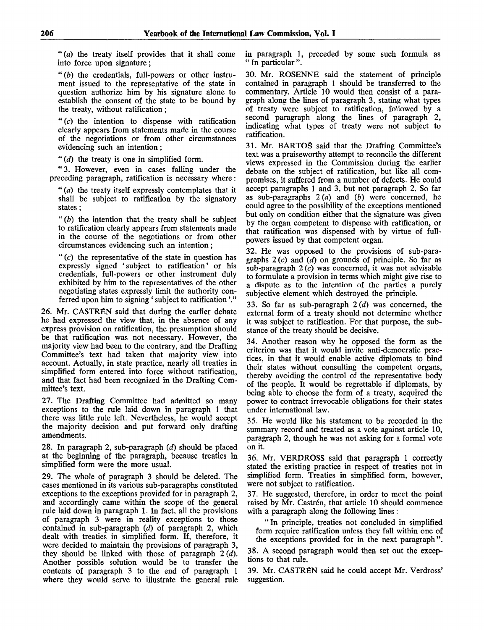" $(a)$  the treaty itself provides that it shall come into force upon signature;

*"(b)* the credentials, full-powers or other instrument issued to the representative of the state in question authorize him by his signature alone to establish the consent of the state to be bound by the treaty, without ratification ;

" $(c)$  the intention to dispense with ratification clearly appears from statements made in the course of the negotiations or from other circumstances evidencing such an intention ;

" *(d)* the treaty is one in simplified form.

" 3. However, even in cases falling under the preceding paragraph, ratification is necessary where:

" *(a)* the treaty itself expressly contemplates that it shall be subject to ratification by the signatory states;

" *(b)* the intention that the treaty shall be subject to ratification clearly appears from statements made in the course of the negotiations or from other circumstances evidencing such an intention;

" $(c)$  the representative of the state in question has expressly signed ' subject to ratification' or his credentials, full-powers or other instrument duly exhibited by him to the representatives of the other negotiating states expressly limit the authority conferred upon him to signing ' subject to ratification'."

26. Mr. CASTRÉN said that during the earlier debate he had expressed the view that, in the absence of any express provision on ratification, the presumption should be that ratification was not necessary. However, the majority view had been to the contrary, and the Drafting Committee's text had taken that majority view into account. Actually, in state practice, nearly all treaties in simplified form entered into force without ratification, and that fact had been recognized in the Drafting Committee's text.

27. The Drafting Committee had admitted so many exceptions to the rule laid down in paragraph 1 that there was little rule left. Nevertheless, he would accept the majority decision and put forward only drafting amendments.

28. In paragraph 2, sub-paragraph *(d)* should be placed at the beginning of the paragraph, because treaties in simplified form were the more usual.

29. The whole of paragraph 3 should be deleted. The cases mentioned in its various sub-paragraphs constituted exceptions to the exceptions provided for in paragraph 2, and accordingly came within the scope of the general rule laid down in paragraph 1. In fact, all the provisions of paragraph 3 were in reality exceptions to those contained in sub-paragraph *(d)* of paragraph 2, which dealt with treaties in simplified form. If, therefore, it were decided to maintain the provisions of paragraph 3, they should be linked with those of paragraph *2{d).* Another possible solution would be to transfer the contents of paragraph 3 to the end of paragraph 1 where they would serve to illustrate the general rule

in paragraph 1, preceded by some such formula as " In particular".

30. Mr. ROSENNE said the statement of principle contained in paragraph 1 should be transferred to the commentary. Article 10 would then consist of a paragraph along the lines of paragraph 3, stating what types of treaty were subject to ratification, followed by a second paragraph along the lines of paragraph 2, indicating what types of treaty were not subject to ratification.

31. Mr. BARTO5 said that the Drafting Committee's text was a praiseworthy attempt to reconcile the different views expressed in the Commission during the earlier debate on the subject of ratification, but like all compromises, it suffered from a number of defects. He could accept paragraphs 1 and 3, but not paragraph 2. So far as sub-paragraphs 2 (a) and *(b)* were concerned, he could agree to the possibility of the exceptions mentioned but only on condition either that the signature was given by the organ competent to dispense with ratification, or that ratification was dispensed with by virtue of fullpowers issued by that competent organ.

32. He was opposed to the provisions of sub-paragraphs 2(c) and *(d)* on grounds of principle. So far as sub-paragraph  $2(c)$  was concerned, it was not advisable to formulate a provision in terms which might give rise to a dispute as to the intention of the parties a purely subjective element which destroyed the principle.

33. So far as sub-paragraph *2(d)* was concerned, the external form of a treaty should not determine whether it was subject to ratification. For that purpose, the substance of the treaty should be decisive.

34. Another reason why he opposed the form as the criterion was that it would invite anti-democratic practices, in that it would enable active diplomats to bind their states without consulting the competent organs, thereby avoiding the control of the representative body of the people. It would be regrettable if diplomats, by being able to choose the form of a treaty, acquired the power to contract irrevocable obligations for their states under international law.

35. He would like his statement to be recorded in the summary record and treated as a vote against article 10, paragraph 2, though he was not asking for a formal vote on it.

36. Mr. VERDROSS said that paragraph 1 correctly stated the existing practice in respect of treaties not in simplified form. Treaties in simplified form, however, were not subject to ratification.

37. He suggested, therefore, in order to meet the point raised by Mr. Castrén, that article 10 should commence with a paragraph along the following lines :

"In principle, treaties not concluded in simplified form require ratification unless they fall within one of the exceptions provided for in the next paragraph".

38. A second paragraph would then set out the exceptions to that rule.

39. Mr. CASTRÉN said he could accept Mr. Verdross' suggestion.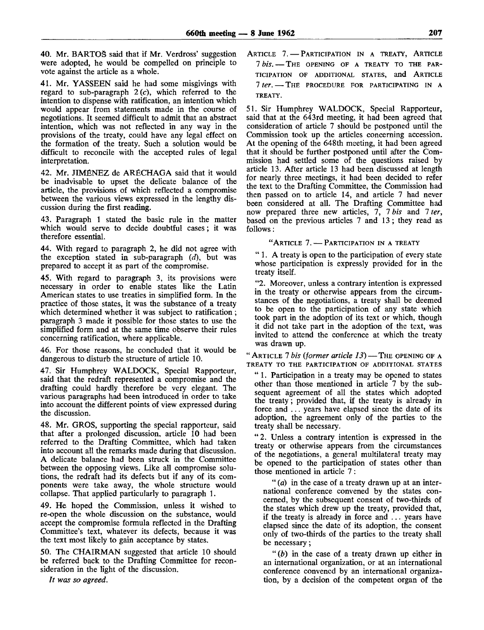40. Mr. BARTOS said that if Mr. Verdross' suggestion were adopted, he would be compelled on principle to vote against the article as a whole.

41. Mr. YASSEEN said he had some misgivings with regard to sub-paragraph  $2(c)$ , which referred to the intention to dispense with ratification, an intention which would appear from statements made in the course of negotiations. It seemed difficult to admit that an abstract intention, which was not reflected in any way in the provisions of the treaty, could have any legal effect on the formation of the treaty. Such a solution would be difficult to reconcile with the accepted rules of legal interpretation.

42. Mr. JIMÉNEZ de ARÉCHAGA said that it would be inadvisable to upset the delicate balance of the article, the provisions of which reflected a compromise between the various views expressed in the lengthy discussion during the first reading.

43. Paragraph 1 stated the basic rule in the matter which would serve to decide doubtful cases; it was therefore essential.

44. With regard to paragraph 2, he did not agree with the exception stated in sub-paragraph *(d),* but was prepared to accept it as part of the compromise.

45. With regard to paragraph 3, its provisions were necessary in order to enable states like the Latin American states to use treaties in simplified form. In the practice of those states, it was the substance of a treaty which determined whether it was subject to ratification; paragraph 3 made it possible for those states to use the simplified form and at the same time observe their rules concerning ratification, where applicable.

46. For those reasons, he concluded that it would be dangerous to disturb the structure of article 10.

47. Sir Humphrey WALDOCK, Special Rapporteur, said that the redraft represented a compromise and the drafting could hardly therefore be very elegant. The various paragraphs had been introduced in order to take into account the different points of view expressed during the discussion.

48. Mr. GROS, supporting the special rapporteur, said that after a prolonged discussion, article 10 had been referred to the Drafting Committee, which had taken into account all the remarks made during that discussion. A delicate balance had been struck in the Committee between the opposing views. Like all compromise solutions, the redraft had its defects but if any of its components were take away, the whole structure would collapse. That applied particularly to paragraph 1.

49. He hoped the Commission, unless it wished to re-open the whole discussion on the substance, would accept the compromise formula reflected in the Drafting Committee's text, whatever its defects, because it was the text most likely to gain acceptance by states.

50. The CHAIRMAN suggested that article 10 should be referred back to the Drafting Committee for reconsideration in the light of the discussion.

*It was so agreed.*

ARTICLE 7. — PARTICIPATION IN A TREATY, ARTICLE 7 *bis.* — THE OPENING OF A TREATY TO THE PAR-TICIPATION OF ADDITIONAL STATES, and ARTICLE 7 *ter.* — THE PROCEDURE FOR PARTICIPATING IN A **TREATY.**

51. Sir Humphrey WALDOCK, Special Rapporteur, said that at the 643rd meeting, it had been agreed that consideration of article 7 should be postponed until the Commission took up the articles concerning accession. At the opening of the 648th meeting, it had been agreed that it should be further postponed until after the Commission had settled some of the questions raised by article 13. After article 13 had been discussed at length for nearly three meetings, it had been decided to refer the text to the Drafting Committee, the Commission had then passed on to article 14, and article 7 had never been considered at all. The Drafting Committee had now prepared three new articles, 7, 7 *bis* and 7 *ter,* based on the previous articles 7 and 13 ; they read as follows:

"ARTICLE 7. — PARTICIPATION IN A TREATY

" 1. A treaty is open to the participation of every state whose participation is expressly provided for in the treaty itself.

"2. Moreover, unless a contrary intention is expressed in the treaty or otherwise appears from the circumstances of the negotiations, a treaty shall be deemed to be open to the participation of any state which took part in the adoption of its text or which, though it did not take part in the adoption of the text, was invited to attend the conference at which the treaty was drawn up.

"ARTICLE 7 *bis (former article 13)* — THE OPENING OF A **TREATY TO THE PARTICIPATION OF ADDITIONAL STATES**

" 1. Participation in a treaty may be opened to states other than those mentioned in article 7 by the subsequent agreement of all the states which adopted the treaty; provided that, if the treaty is already in force and ... years have elapsed since the date of its adoption, the agreement only of the parties to the treaty shall be necessary.

" 2. Unless a contrary intention is expressed in the treaty or otherwise appears from the circumstances of the negotiations, a general multilateral treaty may be opened to the participation of states other than those mentioned in article 7 :

" *(a)* in the case of a treaty drawn up at an international conference convened by the states concerned, by the subsequent consent of two-thirds of the states which drew up the treaty, provided that, if the treaty is already in force and ... years have elapsed since the date of its adoption, the consent only of two-thirds of the parties to the treaty shall be necessary;

" *(b)* in the case of a treaty drawn up either in an international organization, or at an international conference convened by an international organization, by a decision of the competent organ of the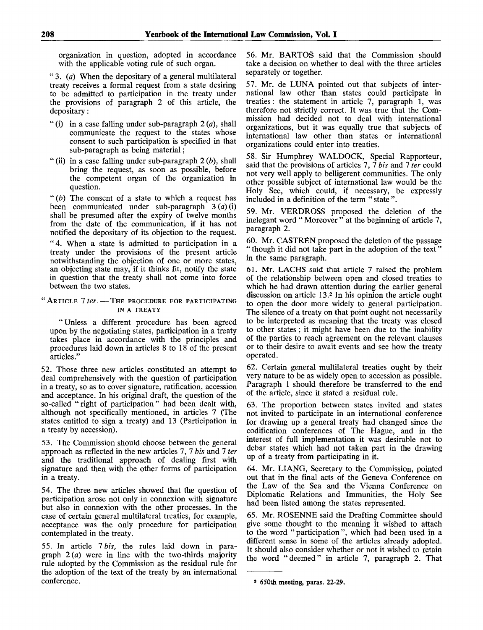organization in question, adopted in accordance with the applicable voting rule of such organ.

" 3. *(a)* When the depositary of a general multilateral treaty receives a formal request from a state desiring to be admitted to participation in the treaty under the provisions of paragraph 2 of this article, the depositary:

- " (i) in a case falling under sub-paragraph 2 *(a),* shall communicate the request to the states whose consent to such participation is specified in that sub-paragraph as being material;
- " (ii) in a case falling under sub-paragraph 2 *(b),* shall bring the request, as soon as possible, before the competent organ of the organization in question.

" *(b)* The consent of a state to which a request has been communicated under sub-paragraph 3 *(a)* (i) shall be presumed after the expiry of twelve months from the date of the communication, if it has not notified the depositary of its objection to the request.

"4. When a state is admitted to participation in a treaty under the provisions of the present article notwithstanding the objection of one or more states, an objecting state may, if it thinks fit, notify the state in question that the treaty shall not come into force between the two states.

## "ARTICLE *1 ter.* — THE PROCEDURE FOR PARTICIPATING IN A TREATY

"Unless a different procedure has been agreed upon by the negotiating states, participation in a treaty takes place in accordance with the principles and procedures laid down in articles 8 to 18 of the present articles."

52. Those three new articles constituted an attempt to deal comprehensively with the question of participation in a treaty, so as to cover signature, ratification, accession and acceptance. In his original draft, the question of the so-called "right of participation" had been dealt with, although not specifically mentioned, in articles 7 (The states entitled to sign a treaty) and 13 (Participation in a treaty by accession).

53. The Commission should choose between the general approach as reflected in the new articles 7, 7 *bis* and 7 *ter* and the traditional approach of dealing first with signature and then with the other forms of participation in a treaty.

54. The three new articles showed that the question of participation arose not only in connexion with signature but also in connexion with the other processes. In the case of certain general multilateral treaties, for example, acceptance was the only procedure for participation contemplated in the treaty.

55. In article *Ibis,* the rules laid down in paragraph 2 *(a)* were in line with the two-thirds majority rule adopted by the Commission as the residual rule for the adoption of the text of the treaty by an international conference.

56. Mr. BARTOS said that the Commission should take a decision on whether to deal with the three articles separately or together.

57. Mr. de LUNA pointed out that subjects of international law other than states could participate in treaties: the statement in article 7, paragraph 1, was therefore not strictly correct. It was true that the Commission had decided not to deal with international organizations, but it was equally true that subjects of international law other than states or international organizations could enter into treaties.

58. Sir Humphrey WALDOCK, Special Rapporteur, said that the provisions of articles 7, 7 *bis* and 7 *ter* could not very well apply to belligerent communities. The only other possible subject of international law would be the Holy See, which could, if necessary, be expressly included in a definition of the term " state ".

59. Mr. VERDROSS proposed the deletion of the inelegant word " Moreover " at the beginning of article 7, paragraph 2.

60. Mr. CASTREN proposed the deletion of the passage " though it did not take part in the adoption of the text" in the same paragraph.

61. Mr. LACHS said that article 7 raised the problem of the relationship between open and closed treaties to which he had drawn attention during the earlier general discussion on article 13.<sup>2</sup> In his opinion the article ought to open the door more widely to general participation. The silence of a treaty on that point ought not necessarily to be interpreted as meaning that the treaty was closed to other states ; it might have been due to the inability of the parties to reach agreement on the relevant clauses or to their desire to await events and see how the treaty operated.

62. Certain general multilateral treaties ought by their very nature to be as widely open to accession as possible. Paragraph 1 should therefore be transferred to the end of the article, since it stated a residual rule.

63. The proportion between states invited and states not invited to participate in an international conference for drawing up a general treaty had changed since the codification conferences of The Hague, and in the interest of full implementation it was desirable not to debar states which had not taken part in the drawing up of a treaty from participating in it.

64. Mr. LIANG, Secretary to the Commission, pointed out that in the final acts of the Geneva Conference on the Law of the Sea and the Vienna Conference on Diplomatic Relations and Immunities, the Holy See had been listed among the states represented.

65. Mr. ROSENNE said the Drafting Committee should give some thought to the meaning it wished to attach to the word "participation", which had been used in a different sense in some of the articles already adopted. It should also consider whether or not it wished to retain the word "deemed" in article 7, paragraph 2. That

<sup>8</sup> 650th meeting, paras. 22-29.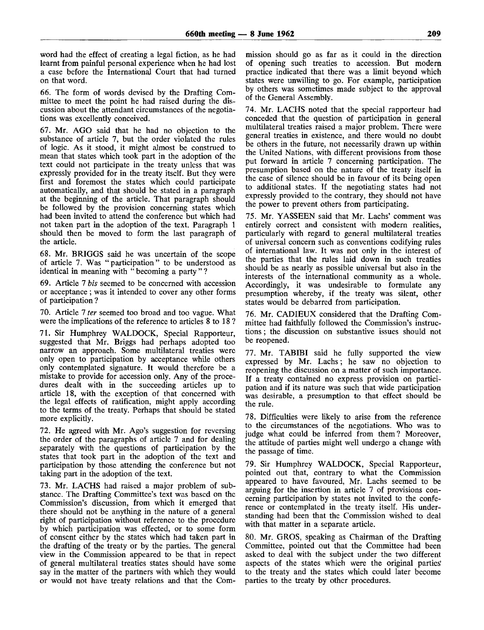word had the effect of creating a legal fiction, as he had learnt from painful personal experience when he had lost a case before the International Court that had turned on that word.

66. The form of words devised by the Drafting Committee to meet the point he had raised during the discussion about the attendant circumstances of the negotiations was excellently conceived.

67. Mr. AGO said that he had no objection to the substance of article 7, but the order violated the rules of logic. As it stood, it might almost be construed to mean that states which took part in the adoption of the text could not participate in the treaty unless that was expressly provided for in the treaty itself. But they were first and foremost the states which could participate automatically, and that should be stated in a paragraph at the beginning of the article. That paragraph should be followed by the provision concerning states which had been invited to attend the conference but which had not taken part in the adoption of the text. Paragraph 1 should then be moved to form the last paragraph of the article.

68. Mr. BRIGGS said he was uncertain of the scope of article 7. Was "participation" to be understood as identical in meaning with " becoming a party " ?

69. Article 7 *bis* seemed to be concerned with accession or acceptance ; was it intended to cover any other forms of participation ?

70. Article 7 *ter* seemed too broad and too vague. What were the implications of the reference to articles 8 to 18?

71. Sir Humphrey WALDOCK, Special Rapporteur, suggested that Mr. Briggs had perhaps adopted too narrow an approach. Some multilateral treaties were only open to participation by acceptance while others only contemplated signature. It would therefore be a mistake to provide for accession only. Any of the procedures dealt with in the succeeding articles up to article 18, with the exception of that concerned with the legal effects of ratification, might apply according to the terms of the treaty. Perhaps that should be stated more explicitly.

72. He agreed with Mr. Ago's suggestion for reversing the order of the paragraphs of article 7 and for dealing separately with the questions of participation by the states that took part in the adoption of the text and participation by those attending the conference but not taking part in the adoption of the text.

73. Mr. LACHS had raised a major problem of substance. The Drafting Committee's text was based on the Commission's discussion, from which it emerged that there should not be anything in the nature of a general right of participation without reference to the procedure by which participation was effected, or to some form of consent either by the states which had taken part in the drafting of the treaty or by the parties. The general view in the Commission appeared to be that in repect of general multilateral treaties states should have some say in the matter of the partners with which they would or would not have treaty relations and that the Com-

mission should go as far as it could in the direction of opening such treaties to accession. But modern practice indicated that there was a limit beyond which states were unwilling to go. For example, participation by others was sometimes made subject to the approval of the General Assembly.

74. Mr. LACHS noted that the special rapporteur had conceded that the question of participation in general multilateral treaties raised a major problem. There were general treaties in existence, and there would no doubt be others in the future, not necessarily drawn up within the United Nations, with different provisions from those put forward in article 7 concerning participation. The presumption based on the nature of the treaty itself in the case of silence should be in favour of its being open to additional states. If the negotiating states had not expressly provided to the contrary, they should not have the power to prevent others from participating.

75. Mr. YASSEEN said that Mr. Lachs' comment was entirely correct and consistent with modern realities, particularly with regard to general multilateral treaties of universal concern such as conventions codifying rules of international law. It was not only in the interest of the parties that the rules laid down in such treaties should be as nearly as possible universal but also in the interests of the international community as a whole. Accordingly, it was undesirable to formulate any presumption whereby, if the treaty was silent, other states would be debarred from participation.

76. Mr. CADIEUX considered that the Drafting Committee had faithfully followed the Commission's instructions ; the discussion on substantive issues should not be reopened.

77. Mr. TABIBI said he fully supported the view expressed by Mr. Lachs; he saw no objection to reopening the discussion on a matter of such importance. If a treaty contained no express provision on participation and if its nature was such that wide participation was desirable, a presumption to that effect should be the rule.

78. Difficulties were likely to arise from the reference to the circumstances of the negotiations. Who was to judge what could be inferred from them? Moreover, the attitude of parties might well undergo a change with the passage of time.

79. Sir Humphrey WALDOCK, Special Rapporteur, pointed out that, contrary to what the Commission appeared to have favoured, Mr. Lachs seemed to be arguing for the insertion in article 7 of provisions concerning participation by states not invited to the conference or contemplated in the treaty itself. His understanding had been that the Commission wished to deal with that matter in a separate article.

80. Mr. GROS, speaking as Chairman of the Drafting Committee, pointed out that the Committee had been asked to deal with the subject under the two different aspects of the states which were the original parties' to the treaty and the states which could later become parties to the treaty by other procedures.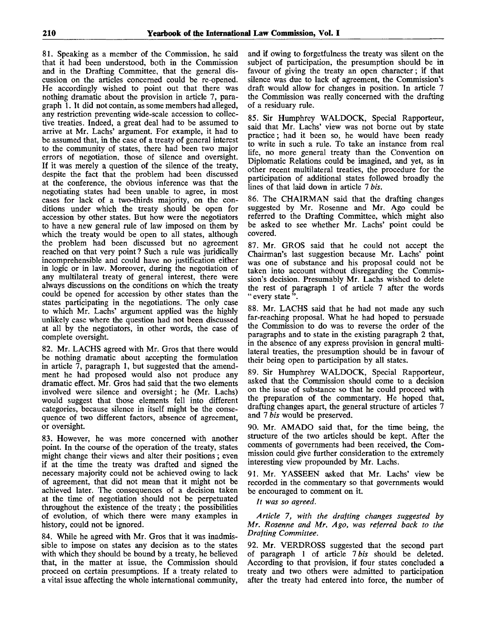81. Speaking as a member of the Commission, he said that it had been understood, both in the Commission and in the Drafting Committee, that the general discussion on the articles concerned could be re-opened. He accordingly wished to point out that there was nothing dramatic about the provision in article 7, paragraph 1. It did not contain, as some members had alleged, any restriction preventing wide-scale accession to collective treaties. Indeed, a great deal had to be assumed to arrive at Mr. Lachs' argument. For example, it had to be assumed that, in the case of a treaty of general interest to the community of states, there had been two major errors of negotiation, those of silence and oversight. If it was merely a question of the silence of the treaty, despite the fact that the problem had been discussed at the conference, the obvious inference was that the negotiating states had been unable to agree, in most cases for lack of a two-thirds majority, on the conditions under which the treaty should be open for accession by other states. But how were the negotiators to have a new general rule of law imposed on them by which the treaty would be open to all states, although the problem had been discussed but no agreement reached on that very point ? Such a rule was juridically incomprehensible and could have no justification either in logic or in law. Moreover, during the negotiation of any multilateral treaty of general interest, there were always discussions on the conditions on which the treaty could be opened for accession by other states than the states participating in the negotiations. The only case to which Mr. Lachs' argument applied was the highly unlikely case where the question had not been discussed at all by the negotiators, in other words, the case of complete oversight.

82. Mr. LACHS agreed with Mr. Gros that there would be nothing dramatic about accepting the formulation in article 7, paragraph 1, but suggested that the amendment he had proposed would also not produce any dramatic effect. Mr. Gros had said that the two elements involved were silence and oversight; he (Mr. Lachs) would suggest that those elements fell into different categories, because silence in itself might be the consequence of two different factors, absence of agreement, or oversight.

83. However, he was more concerned with another point. In the course of the operation of the treaty, states might change their views and alter their positions ; even if at the time the treaty was drafted and signed the necessary majority could not be achieved owing to lack of agreement, that did not mean that it might not be achieved later. The consequences of a decision taken at the time of negotiation should not be perpetuated throughout the existence of the treaty; the possibilities of evolution, of which there were many examples in history, could not be ignored.

84. While he agreed with Mr. Gros that it was inadmissible to impose on states any decision as to the states with which they should be bound by a treaty, he believed that, in the matter at issue, the Commission should proceed on certain presumptions. If a treaty related to a vital issue affecting the whole international community, and if owing to forgetfulness the treaty was silent on the subject of participation, the presumption should be in favour of giving the treaty an open character; if that silence was due to lack of agreement, the Commission's draft would allow for changes in position. In article 7 the Commission was really concerned with the drafting of a residuary rule.

85. Sir Humphrey WALDOCK, Special Rapporteur, said that Mr. Lachs' view was not borne out by state practice; had it been so, he would have been ready to write in such a rule. To take an instance from real life, no more general treaty than the Convention on Diplomatic Relations could be imagined, and yet, as in other recent multilateral treaties, the procedure for the participation of additional states followed broadly the lines of that laid down in article 7 *bis.*

86. The CHAIRMAN said that the drafting changes suggested by Mr. Rosenne and Mr. Ago could be referred to the Drafting Committee, which might also be asked to see whether Mr. Lachs' point could be covered.

87. Mr. GROS said that he could not accept the Chairman's last suggestion because Mr. Lachs' point was one of substance and his proposal could not be taken into account without disregarding the Commission's decision. Presumably Mr. Lachs wished to delete the rest of paragraph 1 of article 7 after the words "every state".

88. Mr. LACHS said that he had not made any such far-reaching proposal. What he had hoped to persuade the Commission to do was to reverse the order of the paragraphs and to state in the existing paragraph 2 that, in the absence of any express provision in general multilateral treaties, the presumption should be in favour of their being open to participation by all states.

89. Sir Humphrey WALDOCK, Special Rapporteur, asked that the Commission should come to a decision on the issue of substance so that he could proceed with the preparation of the commentary. He hoped that, drafting changes apart, the general structure of articles 7 and 7 *bis* would be preserved.

90. Mr. AMADO said that, for the time being, the structure of the two articles should be kept. After the comments of governments had been received, the Commission could give further consideration to the extremely interesting view propounded by Mr. Lachs.

91. Mr. YASSEEN asked that Mr. Lachs' view be recorded in the commentary so that governments would be encouraged to comment on it.

*It was so agreed.*

*Article 7, with the drafting changes suggested by Mr. Rosenne and Mr. Ago, was referred back to the Drafting Committee.*

92. Mr. VERDROSS suggested that the second part of paragraph 1 of article 7 *bis* should be deleted. According to that provision, if four states concluded a treaty and two others were admitted to participation after the treaty had entered into force, the number of